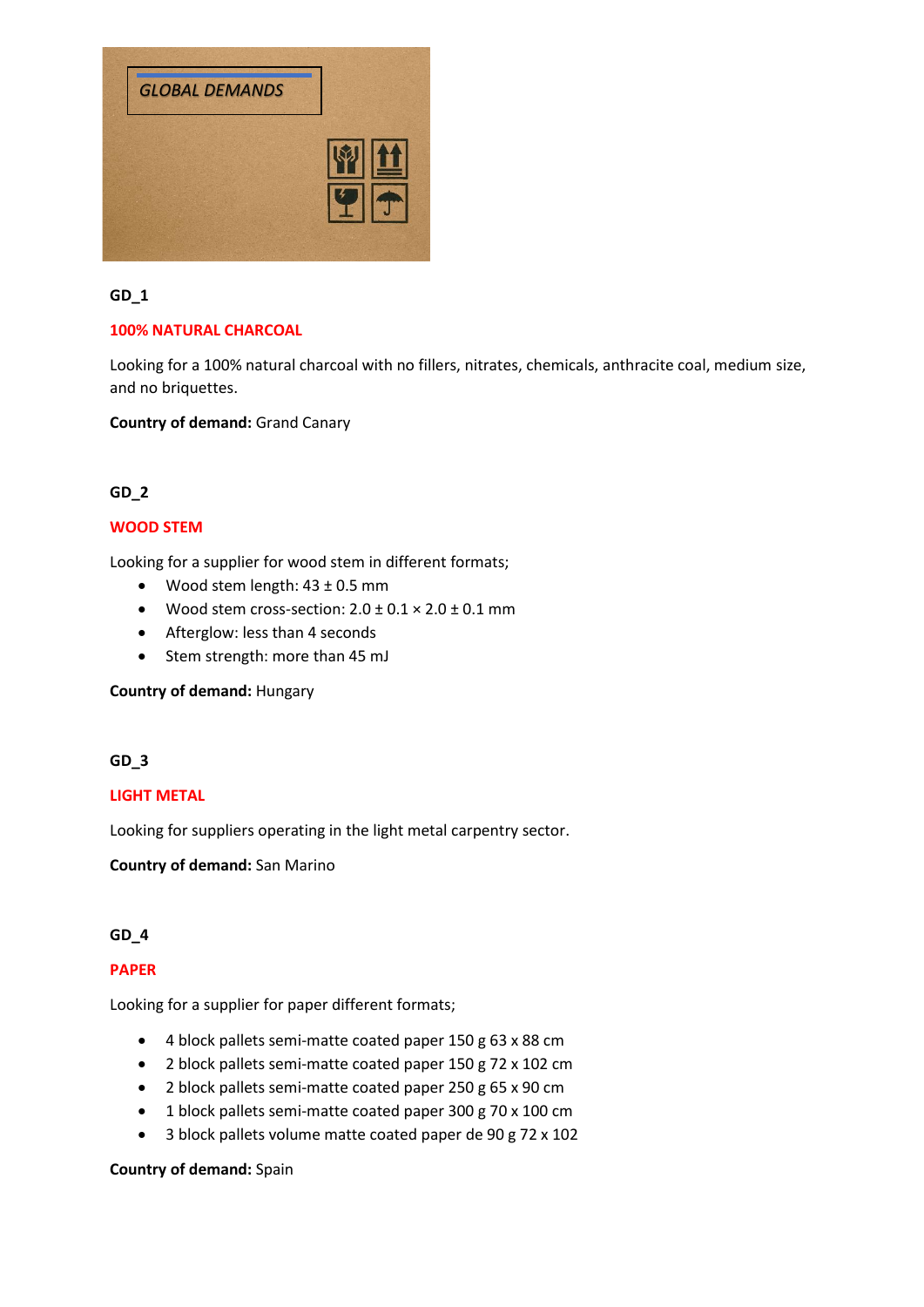

### **GD\_1**

### **100% NATURAL CHARCOAL**

Looking for a 100% natural charcoal with no fillers, nitrates, chemicals, anthracite coal, medium size, and no briquettes.

**Country of demand:** Grand Canary

# **GD\_2**

## **WOOD STEM**

Looking for a supplier for wood stem in different formats;

- Wood stem length:  $43 \pm 0.5$  mm
- Wood stem cross-section:  $2.0 \pm 0.1 \times 2.0 \pm 0.1$  mm
- Afterglow: less than 4 seconds
- Stem strength: more than 45 mJ

**Country of demand:** Hungary

### **GD\_3**

### **LIGHT METAL**

Looking for suppliers operating in the light metal carpentry sector.

**Country of demand:** San Marino

# **GD\_4**

### **PAPER**

Looking for a supplier for paper different formats;

- 4 block pallets semi-matte coated paper 150 g 63 x 88 cm
- 2 block pallets semi-matte coated paper 150 g 72 x 102 cm
- 2 block pallets semi-matte coated paper 250 g 65 x 90 cm
- 1 block pallets semi-matte coated paper 300 g 70 x 100 cm
- 3 block pallets volume matte coated paper de 90 g 72 x 102

### **Country of demand:** Spain